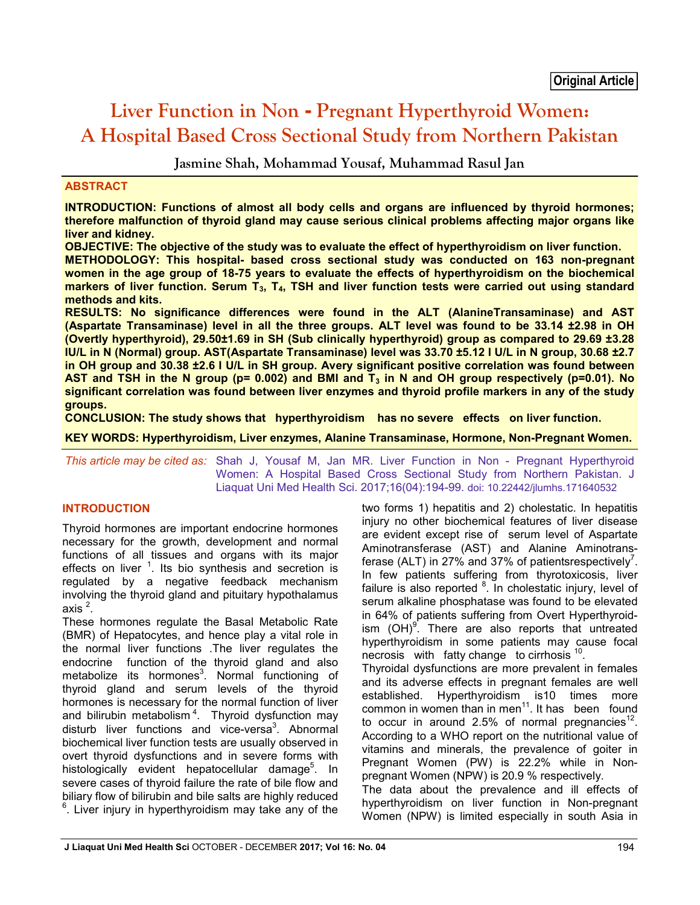# **Liver Function in Non - Pregnant Hyperthyroid Women: A Hospital Based Cross Sectional Study from Northern Pakistan**

**Jasmine Shah, Mohammad Yousaf, Muhammad Rasul Jan**

## **ABSTRACT**

**INTRODUCTION: Functions of almost all body cells and organs are influenced by thyroid hormones; therefore malfunction of thyroid gland may cause serious clinical problems affecting major organs like liver and kidney.** 

**OBJECTIVE: The objective of the study was to evaluate the effect of hyperthyroidism on liver function.**

**METHODOLOGY: This hospital- based cross sectional study was conducted on 163 non-pregnant women in the age group of 18-75 years to evaluate the effects of hyperthyroidism on the biochemical markers of liver function. Serum T3, T4, TSH and liver function tests were carried out using standard methods and kits.**

**RESULTS: No significance differences were found in the ALT (AlanineTransaminase) and AST (Aspartate Transaminase) level in all the three groups. ALT level was found to be 33.14 ±2.98 in OH (Overtly hyperthyroid), 29.50±1.69 in SH (Sub clinically hyperthyroid) group as compared to 29.69 ±3.28 IU/L in N (Normal) group. AST(Aspartate Transaminase) level was 33.70 ±5.12 I U/L in N group, 30.68 ±2.7 in OH group and 30.38 ±2.6 I U/L in SH group. Avery significant positive correlation was found between AST and TSH in the N group (p= 0.002) and BMI and T<sub>3</sub> in N and OH group respectively (p=0.01). No significant correlation was found between liver enzymes and thyroid profile markers in any of the study groups.**

**CONCLUSION: The study shows that hyperthyroidism has no severe effects on liver function.**

**KEY WORDS: Hyperthyroidism, Liver enzymes, Alanine Transaminase, Hormone, Non-Pregnant Women.**

*This article may be cited as:* Shah J, Yousaf M, Jan MR. Liver Function in Non - Pregnant Hyperthyroid Women: A Hospital Based Cross Sectional Study from Northern Pakistan. J Liaquat Uni Med Health Sci. 2017;16(04):194-99. doi: 10.22442/jlumhs.171640532

# **INTRODUCTION**

Thyroid hormones are important endocrine hormones necessary for the growth, development and normal functions of all tissues and organs with its major effects on liver  $1$ . Its bio synthesis and secretion is regulated by a negative feedback mechanism involving the thyroid gland and pituitary hypothalamus axis  $^2$ .

These hormones regulate the Basal Metabolic Rate (BMR) of Hepatocytes, and hence play a vital role in the normal liver functions .The liver regulates the endocrine function of the thyroid gland and also metabolize its hormones<sup>3</sup>. Normal functioning of thyroid gland and serum levels of the thyroid hormones is necessary for the normal function of liver and bilirubin metabolism<sup>4</sup>. Thyroid dysfunction may disturb liver functions and vice-versa<sup>3</sup>. Abnormal biochemical liver function tests are usually observed in overt thyroid dysfunctions and in severe forms with histologically evident hepatocellular damage<sup>5</sup>. In severe cases of thyroid failure the rate of bile flow and biliary flow of bilirubin and bile salts are highly reduced <sup>6</sup>. Liver injury in hyperthyroidism may take any of the two forms 1) hepatitis and 2) cholestatic. In hepatitis injury no other biochemical features of liver disease are evident except rise of serum level of Aspartate Aminotransferase (AST) and Alanine Aminotransferase (ALT) in 27% and 37% of patientsrespectively<sup>7</sup>. In few patients suffering from thyrotoxicosis, liver failure is also reported <sup>8</sup>. In cholestatic injury, level of serum alkaline phosphatase was found to be elevated in 64% of patients suffering from Overt Hyperthyroidism  $(OH)^9$ . There are also reports that untreated hyperthyroidism in some patients may cause focal necrosis with fatty change to cirrhosis <sup>10</sup>. Thyroidal dysfunctions are more prevalent in females

and its adverse effects in pregnant females are well established. Hyperthyroidism is10 times more common in women than in men $11$ . It has been found to occur in around 2.5% of normal pregnancies<sup>12</sup>. According to a WHO report on the nutritional value of vitamins and minerals, the prevalence of goiter in Pregnant Women (PW) is 22.2% while in Nonpregnant Women (NPW) is 20.9 % respectively.

The data about the prevalence and ill effects of hyperthyroidism on liver function in Non-pregnant Women (NPW) is limited especially in south Asia in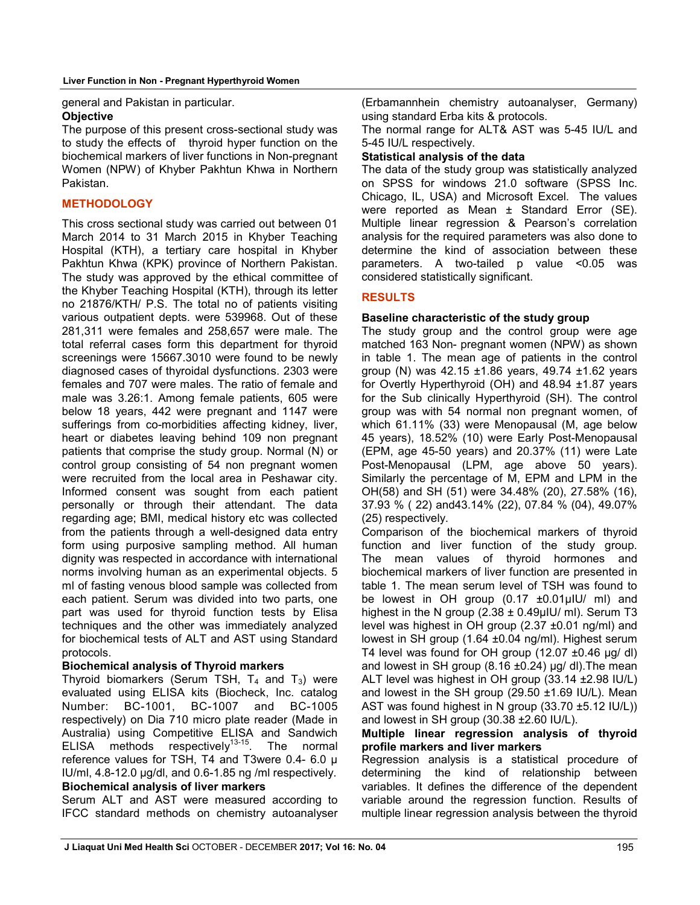general and Pakistan in particular.

#### **Objective**

The purpose of this present cross-sectional study was to study the effects of thyroid hyper function on the biochemical markers of liver functions in Non-pregnant Women (NPW) of Khyber Pakhtun Khwa in Northern Pakistan.

# **METHODOLOGY**

This cross sectional study was carried out between 01 March 2014 to 31 March 2015 in Khyber Teaching Hospital (KTH), a tertiary care hospital in Khyber Pakhtun Khwa (KPK) province of Northern Pakistan. The study was approved by the ethical committee of the Khyber Teaching Hospital (KTH), through its letter no 21876/KTH/ P.S. The total no of patients visiting various outpatient depts. were 539968. Out of these 281,311 were females and 258,657 were male. The total referral cases form this department for thyroid screenings were 15667.3010 were found to be newly diagnosed cases of thyroidal dysfunctions. 2303 were females and 707 were males. The ratio of female and male was 3.26:1. Among female patients, 605 were below 18 years, 442 were pregnant and 1147 were sufferings from co-morbidities affecting kidney, liver, heart or diabetes leaving behind 109 non pregnant patients that comprise the study group. Normal (N) or control group consisting of 54 non pregnant women were recruited from the local area in Peshawar city. Informed consent was sought from each patient personally or through their attendant. The data regarding age; BMI, medical history etc was collected from the patients through a well-designed data entry form using purposive sampling method. All human dignity was respected in accordance with international norms involving human as an experimental objects. 5 ml of fasting venous blood sample was collected from each patient. Serum was divided into two parts, one part was used for thyroid function tests by Elisa techniques and the other was immediately analyzed for biochemical tests of ALT and AST using Standard protocols.

## **Biochemical analysis of Thyroid markers**

Thyroid biomarkers (Serum TSH,  $T_4$  and  $T_3$ ) were evaluated using ELISA kits (Biocheck, Inc. catalog Number: BC-1001, BC-1007 and BC-1005 respectively) on Dia 710 micro plate reader (Made in Australia) using Competitive ELISA and Sandwich ELISA methods respectively<sup>13-15</sup>. The normal reference values for TSH, T4 and T3were 0.4- 6.0 μ IU/ml, 4.8-12.0 μg/dl, and 0.6-1.85 ng /ml respectively. **Biochemical analysis of liver markers**

Serum ALT and AST were measured according to IFCC standard methods on chemistry autoanalyser (Erbamannhein chemistry autoanalyser, Germany) using standard Erba kits & protocols.

The normal range for ALT& AST was 5-45 IU/L and 5-45 IU/L respectively.

#### **Statistical analysis of the data**

The data of the study group was statistically analyzed on SPSS for windows 21.0 software (SPSS Inc. Chicago, IL, USA) and Microsoft Excel. The values were reported as Mean ± Standard Error (SE). Multiple linear regression & Pearson's correlation analysis for the required parameters was also done to determine the kind of association between these parameters. A two-tailed p value <0.05 was considered statistically significant.

# **RESULTS**

# **Baseline characteristic of the study group**

The study group and the control group were age matched 163 Non- pregnant women (NPW) as shown in table 1. The mean age of patients in the control group (N) was 42.15 ±1.86 years, 49.74 ±1.62 years for Overtly Hyperthyroid (OH) and 48.94 ±1.87 years for the Sub clinically Hyperthyroid (SH). The control group was with 54 normal non pregnant women, of which 61.11% (33) were Menopausal (M, age below 45 years), 18.52% (10) were Early Post-Menopausal (EPM, age 45-50 years) and 20.37% (11) were Late Post-Menopausal (LPM, age above 50 years). Similarly the percentage of M, EPM and LPM in the OH(58) and SH (51) were 34.48% (20), 27.58% (16), 37.93 % ( 22) and43.14% (22), 07.84 % (04), 49.07% (25) respectively.

Comparison of the biochemical markers of thyroid function and liver function of the study group. The mean values of thyroid hormones and biochemical markers of liver function are presented in table 1. The mean serum level of TSH was found to be lowest in OH group  $(0.17 \pm 0.01 \mu)$  ml) and highest in the N group  $(2.38 \pm 0.49 \mu)$ U/ ml). Serum T3 level was highest in OH group (2.37 ±0.01 ng/ml) and lowest in SH group (1.64 ±0.04 ng/ml). Highest serum T4 level was found for OH group (12.07 ±0.46 µg/ dl) and lowest in SH group (8.16  $\pm$ 0.24) µg/ dl). The mean ALT level was highest in OH group (33.14 ±2.98 IU/L) and lowest in the SH group  $(29.50 \pm 1.69 \text{ IU/L})$ . Mean AST was found highest in N group (33.70 ±5.12 IU/L)) and lowest in SH group (30.38 ±2.60 IU/L).

#### **Multiple linear regression analysis of thyroid profile markers and liver markers**

Regression analysis is a statistical procedure of determining the kind of relationship between variables. It defines the difference of the dependent variable around the regression function. Results of multiple linear regression analysis between the thyroid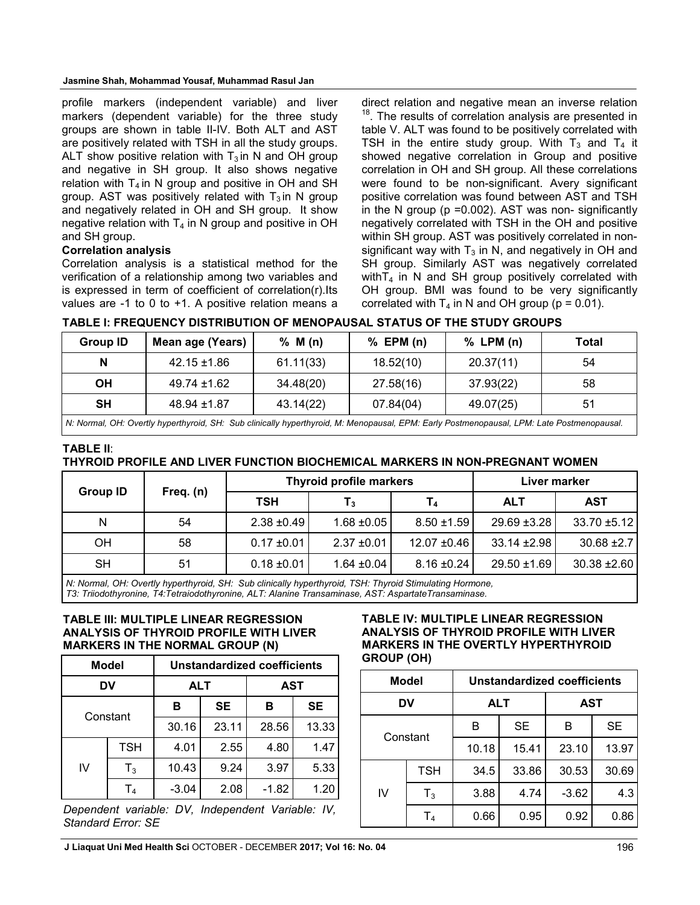profile markers (independent variable) and liver markers (dependent variable) for the three study groups are shown in table II-IV. Both ALT and AST are positively related with TSH in all the study groups. ALT show positive relation with  $T_3$  in N and OH group and negative in SH group. It also shows negative relation with  $T_4$  in N group and positive in OH and SH group. AST was positively related with  $T_3$  in N group and negatively related in OH and SH group. It show negative relation with  $T_4$  in N group and positive in OH and SH group.

## **Correlation analysis**

Correlation analysis is a statistical method for the verification of a relationship among two variables and is expressed in term of coefficient of correlation(r).Its values are -1 to 0 to +1. A positive relation means a direct relation and negative mean an inverse relation <sup>18</sup>. The results of correlation analysis are presented in table V. ALT was found to be positively correlated with TSH in the entire study group. With  $T_3$  and  $T_4$  it showed negative correlation in Group and positive correlation in OH and SH group. All these correlations were found to be non-significant. Avery significant positive correlation was found between AST and TSH in the N group ( $p = 0.002$ ). AST was non-significantly negatively correlated with TSH in the OH and positive within SH group. AST was positively correlated in nonsignificant way with  $T_3$  in N, and negatively in OH and SH group. Similarly AST was negatively correlated with  $T_4$  in N and SH group positively correlated with OH group. BMI was found to be very significantly correlated with  $T_4$  in N and OH group ( $p = 0.01$ ).

| TABLE I: FREQUENCY DISTRIBUTION OF MENOPAUSAL STATUS OF THE STUDY GROUPS |  |
|--------------------------------------------------------------------------|--|
|                                                                          |  |

| <b>Group ID</b> | Mean age (Years) | % M(n)    | $%$ EPM (n) | $%$ LPM $(n)$ | Total |
|-----------------|------------------|-----------|-------------|---------------|-------|
|                 | $42.15 \pm 1.86$ | 61.11(33) | 18.52(10)   | 20.37(11)     | 54    |
| OН              | 49.74 ±1.62      | 34.48(20) | 27.58(16)   | 37.93(22)     | 58    |
| <b>SH</b>       | $48.94 \pm 1.87$ | 43.14(22) | 07.84(04)   | 49.07(25)     | 51    |
|                 |                  |           |             |               |       |

*N: Normal, OH: Overtly hyperthyroid, SH: Sub clinically hyperthyroid, M: Menopausal, EPM: Early Postmenopausal, LPM: Late Postmenopausal.*

# **TABLE II**: **THYROID PROFILE AND LIVER FUNCTION BIOCHEMICAL MARKERS IN NON-PREGNANT WOMEN**

| <b>Group ID</b> |             |                 | <b>Thyroid profile markers</b> | Liver marker    |                  |                  |
|-----------------|-------------|-----------------|--------------------------------|-----------------|------------------|------------------|
|                 | Freq. $(n)$ | <b>TSH</b>      | $T_{3}$                        | T4              | <b>ALT</b>       | <b>AST</b>       |
| N               | 54          | $2.38 + 0.49$   | $1.68 + 0.05$                  | $8.50 \pm 1.59$ | 29.69 ±3.28      | 33.70 ±5.12      |
| <b>OH</b>       | 58          | $0.17 \pm 0.01$ | $2.37 + 0.01$                  | $12.07 + 0.46$  | $33.14 \pm 2.98$ | $30.68 \pm 2.7$  |
| <b>SH</b>       | 51          | $0.18 \pm 0.01$ | $1.64 \pm 0.04$                | $8.16 \pm 0.24$ | 29.50 ±1.69      | $30.38 \pm 2.60$ |

*N: Normal, OH: Overtly hyperthyroid, SH: Sub clinically hyperthyroid, TSH: Thyroid Stimulating Hormone, T3: Triiodothyronine, T4:Tetraiodothyronine, ALT: Alanine Transaminase, AST: AspartateTransaminase.*

## **TABLE III: MULTIPLE LINEAR REGRESSION ANALYSIS OF THYROID PROFILE WITH LIVER MARKERS IN THE NORMAL GROUP (N)**

|          | <b>Model</b>   |            |           | Unstandardized coefficients |       |  |
|----------|----------------|------------|-----------|-----------------------------|-------|--|
| DV       |                | <b>ALT</b> |           | AST                         |       |  |
| Constant |                | в          | <b>SE</b> | в                           | SE    |  |
|          |                | 30.16      | 23.11     | 28.56                       | 13.33 |  |
|          | <b>TSH</b>     |            | 2.55      | 4.80                        | 1.47  |  |
| IV       | $T_3$          | 10.43      | 9.24      | 3.97                        | 5.33  |  |
|          | T <sub>4</sub> | -3.04      | 2.08      | $-1.82$                     | 1.20  |  |

*Dependent variable: DV, Independent Variable: IV, Standard Error: SE*

#### **TABLE IV: MULTIPLE LINEAR REGRESSION ANALYSIS OF THYROID PROFILE WITH LIVER MARKERS IN THE OVERTLY HYPERTHYROID GROUP (OH)**

|                               | Model | <b>Unstandardized coefficients</b> |           |            |           |  |  |
|-------------------------------|-------|------------------------------------|-----------|------------|-----------|--|--|
| DV                            |       | <b>ALT</b>                         |           | <b>AST</b> |           |  |  |
| Constant                      |       | в                                  | <b>SE</b> | B          | <b>SE</b> |  |  |
|                               |       | 10.18                              | 15.41     | 23.10      | 13.97     |  |  |
|                               | TSH   | 34.5                               | 33.86     | 30.53      | 30.69     |  |  |
| IV<br>$T_3$<br>T <sub>4</sub> | 3.88  | 4.74                               | $-3.62$   | 4.3        |           |  |  |
|                               |       | 0.66                               | 0.95      | 0.92       | 0.86      |  |  |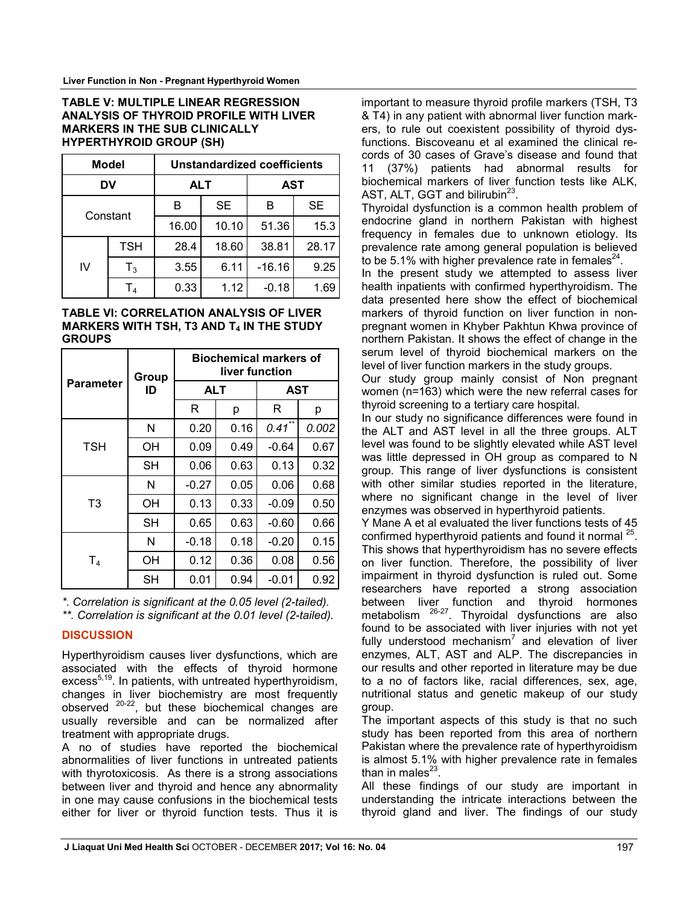#### **TABLE V: MULTIPLE LINEAR REGRESSION ANALYSIS OF THYROID PROFILE WITH LIVER MARKERS IN THE SUB CLINICALLY HYPERTHYROID GROUP (SH)**

|          | Model          | <b>Unstandardized coefficients</b> |           |            |           |
|----------|----------------|------------------------------------|-----------|------------|-----------|
| DV       |                | <b>ALT</b>                         |           | <b>AST</b> |           |
| Constant |                | в                                  | <b>SE</b> | B          | <b>SE</b> |
|          |                | 16.00                              | 10.10     | 51.36      | 15.3      |
|          | <b>TSH</b>     | 28.4                               | 18.60     | 38.81      | 28.17     |
| IV       | $T_3$          | 3.55                               | 6.11      | $-16.16$   | 9.25      |
|          | T <sub>4</sub> | 0.33                               | 1.12      | $-0.18$    | 1.69      |

#### **TABLE VI: CORRELATION ANALYSIS OF LIVER MARKERS WITH TSH, T3 AND T4 IN THE STUDY GROUPS**

| Parameter      | Group     | <b>Biochemical markers of</b><br>liver function |      |           |       |  |
|----------------|-----------|-------------------------------------------------|------|-----------|-------|--|
|                | ID        | <b>ALT</b>                                      |      | AST       |       |  |
|                |           | R                                               | р    | R         | р     |  |
|                | N         | 0.20                                            | 0.16 | $0.41$ ** | 0.002 |  |
| <b>TSH</b>     | ΟH        | 0.09                                            | 0.49 | $-0.64$   | 0.67  |  |
|                | <b>SH</b> | 0.06                                            | 0.63 | 0.13      | 0.32  |  |
| T <sub>3</sub> | N         | $-0.27$                                         | 0.05 | 0.06      | 0.68  |  |
|                | OН        | 0.13                                            | 0.33 | $-0.09$   | 0.50  |  |
|                | <b>SH</b> | 0.65                                            | 0.63 | $-0.60$   | 0.66  |  |
| T4             | N         | $-0.18$                                         | 0.18 | $-0.20$   | 0.15  |  |
|                | OН        | 0.12                                            | 0.36 | 0.08      | 0.56  |  |
|                | SH        | 0.01                                            | 0.94 | $-0.01$   | 0.92  |  |

*\*. Correlation is significant at the 0.05 level (2-tailed).*

*\*\*. Correlation is significant at the 0.01 level (2-tailed).*

# **DISCUSSION**

Hyperthyroidism causes liver dysfunctions, which are associated with the effects of thyroid hormone excess<sup>5,19</sup>. In patients, with untreated hyperthyroidism, changes in liver biochemistry are most frequently observed 20-22, but these biochemical changes are usually reversible and can be normalized after treatment with appropriate drugs.

A no of studies have reported the biochemical abnormalities of liver functions in untreated patients with thyrotoxicosis. As there is a strong associations between liver and thyroid and hence any abnormality in one may cause confusions in the biochemical tests either for liver or thyroid function tests. Thus it is important to measure thyroid profile markers (TSH, T3 & T4) in any patient with abnormal liver function markers, to rule out coexistent possibility of thyroid dysfunctions. Biscoveanu et al examined the clinical records of 30 cases of Grave's disease and found that 11 (37%) patients had abnormal results for biochemical markers of liver function tests like ALK, AST, ALT, GGT and bilirubin $^{23}$ .

Thyroidal dysfunction is a common health problem of endocrine gland in northern Pakistan with highest frequency in females due to unknown etiology. Its prevalence rate among general population is believed to be 5.1% with higher prevalence rate in females<sup>24</sup>.

In the present study we attempted to assess liver health inpatients with confirmed hyperthyroidism. The data presented here show the effect of biochemical markers of thyroid function on liver function in nonpregnant women in Khyber Pakhtun Khwa province of northern Pakistan. It shows the effect of change in the serum level of thyroid biochemical markers on the level of liver function markers in the study groups.

Our study group mainly consist of Non pregnant women (n=163) which were the new referral cases for thyroid screening to a tertiary care hospital.

In our study no significance differences were found in the ALT and AST level in all the three groups. ALT level was found to be slightly elevated while AST level was little depressed in OH group as compared to N group. This range of liver dysfunctions is consistent with other similar studies reported in the literature, where no significant change in the level of liver enzymes was observed in hyperthyroid patients.

Y Mane A et al evaluated the liver functions tests of 45 confirmed hyperthyroid patients and found it normal <sup>25</sup>. This shows that hyperthyroidism has no severe effects on liver function. Therefore, the possibility of liver impairment in thyroid dysfunction is ruled out. Some researchers have reported a strong association between liver function and thyroid hormones metabolism <sup>26-27</sup>. Thyroidal dysfunctions are also found to be associated with liver injuries with not yet fully understood mechanism<sup>7</sup> and elevation of liver enzymes, ALT, AST and ALP. The discrepancies in our results and other reported in literature may be due to a no of factors like, racial differences, sex, age, nutritional status and genetic makeup of our study group.

The important aspects of this study is that no such study has been reported from this area of northern Pakistan where the prevalence rate of hyperthyroidism is almost 5.1% with higher prevalence rate in females than in males $^{23}$ .

All these findings of our study are important in understanding the intricate interactions between the thyroid gland and liver. The findings of our study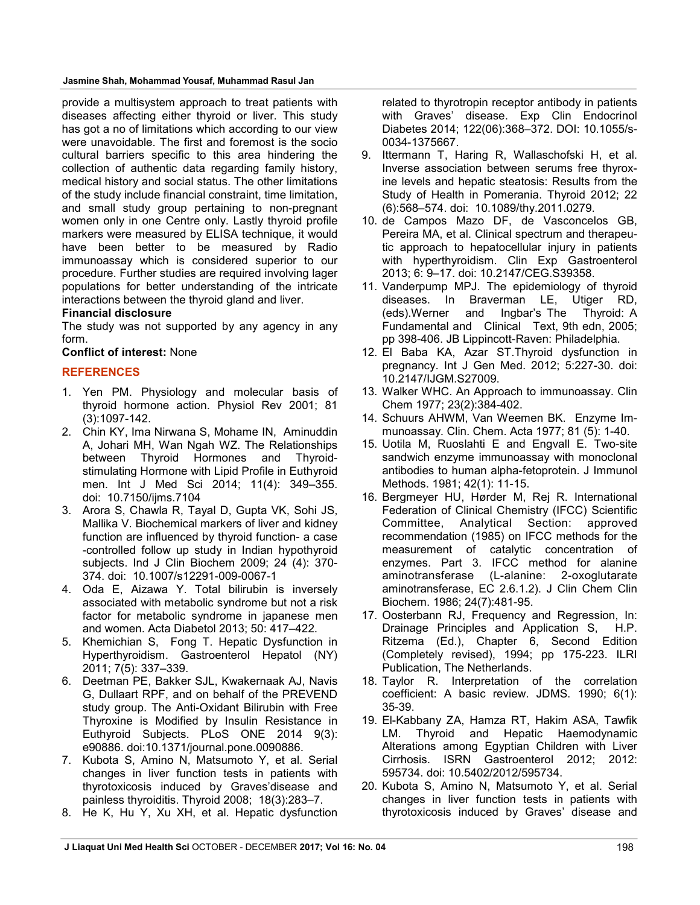**Jasmine Shah, Mohammad Yousaf, Muhammad Rasul Jan**

provide a multisystem approach to treat patients with diseases affecting either thyroid or liver. This study has got a no of limitations which according to our view were unavoidable. The first and foremost is the socio cultural barriers specific to this area hindering the collection of authentic data regarding family history, medical history and social status. The other limitations of the study include financial constraint, time limitation, and small study group pertaining to non-pregnant women only in one Centre only. Lastly thyroid profile markers were measured by ELISA technique, it would have been better to be measured by Radio immunoassay which is considered superior to our procedure. Further studies are required involving lager populations for better understanding of the intricate interactions between the thyroid gland and liver.

#### **Financial disclosure**

The study was not supported by any agency in any form.

**Conflict of interest:** None

## **REFERENCES**

- 1. Yen PM. Physiology and molecular basis of thyroid hormone action. Physiol Rev 2001; 81 (3):1097-142.
- 2. Chin KY, Ima Nirwana S, Mohame IN, Aminuddin A, Johari MH, Wan Ngah WZ. The Relationships between Thyroid Hormones and Thyroidstimulating Hormone with Lipid Profile in Euthyroid men. Int J Med Sci 2014; 11(4): 349–355. doi: 10.7150/ijms.7104
- 3. Arora S, Chawla R, Tayal D, Gupta VK, Sohi JS, Mallika V. Biochemical markers of liver and kidney function are influenced by thyroid function- a case -controlled follow up study in Indian hypothyroid subjects. Ind J Clin Biochem 2009; 24 (4): 370- 374. doi: 10.1007/s12291-009-0067-1
- 4. Oda E, Aizawa Y. Total bilirubin is inversely associated with metabolic syndrome but not a risk factor for metabolic syndrome in japanese men and women. Acta Diabetol 2013; 50: 417–422.
- 5. Khemichian S, Fong T. Hepatic Dysfunction in Hyperthyroidism. Gastroenterol Hepatol (NY) 2011; 7(5): 337–339.
- 6. Deetman PE, Bakker SJL, Kwakernaak AJ, Navis G, Dullaart RPF, and on behalf of the PREVEND study group. The Anti-Oxidant Bilirubin with Free Thyroxine is Modified by Insulin Resistance in Euthyroid Subjects. PLoS ONE 2014 9(3): e90886. doi:10.1371/journal.pone.0090886.
- 7. Kubota S, Amino N, Matsumoto Y, et al. Serial changes in liver function tests in patients with thyrotoxicosis induced by Graves'disease and painless thyroiditis. Thyroid 2008; 18(3):283–7.
- 8. He K, Hu Y, Xu XH, et al. Hepatic dysfunction

related to thyrotropin receptor antibody in patients with Graves' disease. Exp Clin Endocrinol Diabetes 2014; 122(06):368–372. DOI: 10.1055/s-0034-1375667.

- 9. Ittermann T, Haring R, Wallaschofski H, et al. Inverse association between serums free thyroxine levels and hepatic steatosis: Results from the Study of Health in Pomerania. Thyroid 2012; 22 (6):568–574. doi: 10.1089/thy.2011.0279.
- 10. de Campos Mazo DF, de Vasconcelos GB, Pereira MA, et al. Clinical spectrum and therapeutic approach to hepatocellular injury in patients with hyperthyroidism. Clin Exp Gastroenterol 2013; 6: 9–17. doi: 10.2147/CEG.S39358.
- 11. Vanderpump MPJ. The epidemiology of thyroid diseases. In Braverman LE, Utiger RD, (eds).Werner and Ingbar's The Thyroid: A Fundamental and Clinical Text, 9th edn, 2005; pp 398-406. JB Lippincott-Raven: Philadelphia.
- 12. El Baba KA, Azar ST.Thyroid dysfunction in pregnancy. Int J Gen Med. 2012; 5:227-30. doi: 10.2147/IJGM.S27009.
- 13. Walker WHC. An Approach to immunoassay. Clin Chem 1977; 23(2):384-402.
- 14. Schuurs AHWM, Van Weemen BK. Enzyme Immunoassay. Clin. Chem. Acta 1977; 81 (5): 1-40.
- 15. Uotila M, Ruoslahti E and Engvall E. Two-site sandwich enzyme immunoassay with monoclonal antibodies to human alpha-fetoprotein. J Immunol Methods. 1981; 42(1): 11-15.
- 16. Bergmeyer HU, Hørder M, Rej R. International Federation of Clinical Chemistry (IFCC) Scientific Committee, Analytical Section: approved recommendation (1985) on IFCC methods for the measurement of catalytic concentration of enzymes. Part 3. IFCC method for alanine aminotransferase (L-alanine: 2-oxoglutarate aminotransferase, EC 2.6.1.2). J Clin Chem Clin Biochem. 1986; 24(7):481-95.
- 17. Oosterbann RJ, Frequency and Regression, In: Drainage Principles and Application S, H.P. Ritzema (Ed.), Chapter 6, Second Edition (Completely revised), 1994; pp 175-223. ILRI Publication, The Netherlands.
- 18. Taylor R. Interpretation of the correlation coefficient: A basic review. JDMS. 1990; 6(1): 35-39.
- 19. El-Kabbany ZA, Hamza RT, Hakim ASA, Tawfik LM. Thyroid and Hepatic Haemodynamic Alterations among Egyptian Children with Liver Cirrhosis. ISRN Gastroenterol 2012; 2012: 595734. doi: 10.5402/2012/595734.
- 20. Kubota S, Amino N, Matsumoto Y, et al. Serial changes in liver function tests in patients with thyrotoxicosis induced by Graves' disease and